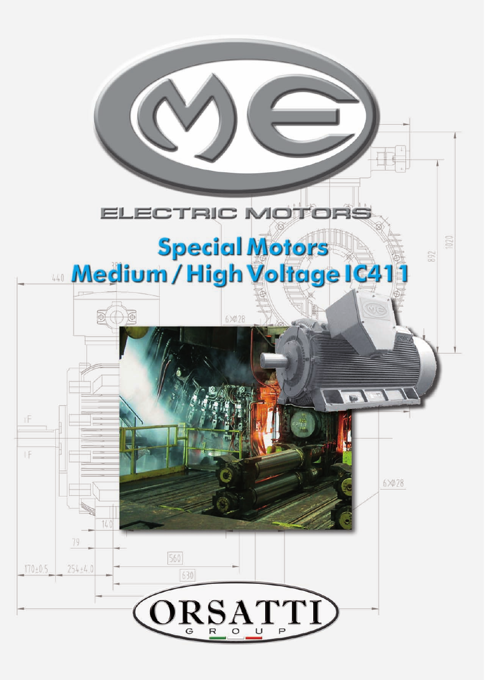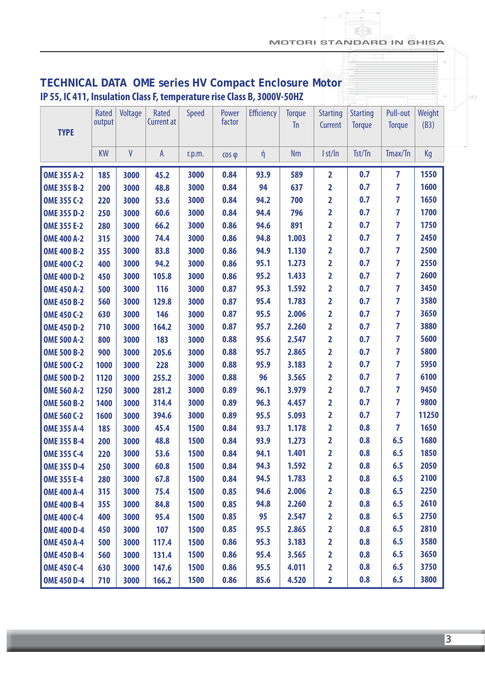MOTORI STANDARD IN GHISA

 $6 \times 28$ 

| <b>TECHNICAL DATA OME series HV Compact Enclosure Motor</b>             |                 |              |                                   |              |                 |                   |                            |                            |                                  |                           |                |
|-------------------------------------------------------------------------|-----------------|--------------|-----------------------------------|--------------|-----------------|-------------------|----------------------------|----------------------------|----------------------------------|---------------------------|----------------|
| IP 55, IC 411, Insulation Class F, temperature rise Class B, 3000V-50HZ |                 |              |                                   |              |                 |                   |                            |                            |                                  |                           |                |
| <b>TYPE</b>                                                             | Rated<br>output | Voltage      | <b>Rated</b><br><b>Current at</b> | <b>Speed</b> | Power<br>factor | <b>Efficiency</b> | <b>Torque</b><br><b>Tn</b> | <b>Starting</b><br>Current | <b>Starting</b><br><b>Torque</b> | Pull-out<br><b>Torque</b> | Weight<br>(B3) |
|                                                                         | <b>KW</b>       | $\mathsf{V}$ | $\mathsf{A}$                      | r.p.m.       | $\cos \varphi$  | ή                 | <b>Nm</b>                  | I st/In                    | Tst/Tn                           | Tmax/Tn                   | Kg             |
| <b>OME 355 A-2</b>                                                      | 185             | 3000         | 45.2                              | 3000         | 0.84            | 93.9              | 589                        | 2                          | 0.7                              | 7                         | 1550           |
| <b>OME 355 B-2</b>                                                      | 200             | 3000         | 48.8                              | 3000         | 0.84            | 94                | 637                        | 2                          | 0.7                              | 7                         | 1600           |
| <b>OME 355 C-2</b>                                                      | 220             | 3000         | 53.6                              | 3000         | 0.84            | 94.2              | 700                        | 2                          | 0.7                              | 7                         | 1650           |
| <b>OME 355 D-2</b>                                                      | 250             | 3000         | 60.6                              | 3000         | 0.84            | 94.4              | 796                        | 2                          | 0.7                              | 7                         | 1700           |
| <b>OME 355 E-2</b>                                                      | 280             | 3000         | 66.2                              | 3000         | 0.86            | 94.6              | 891                        | 2                          | 0.7                              | 7                         | 1750           |
| <b>OME 400 A-2</b>                                                      | 315             | 3000         | 74.4                              | 3000         | 0.86            | 94.8              | 1.003                      | 2                          | 0.7                              | 7                         | 2450           |
| <b>OME 400 B-2</b>                                                      | 355             | 3000         | 83.8                              | 3000         | 0.86            | 94.9              | 1.130                      | 2                          | 0.7                              | 7                         | 2500           |
| <b>OME 400 C-2</b>                                                      | 400             | 3000         | 94.2                              | 3000         | 0.86            | 95.1              | 1.273                      | 2                          | 0.7                              | 7                         | 2550           |
| <b>OME 400 D-2</b>                                                      | 450             | 3000         | 105.8                             | 3000         | 0.86            | 95.2              | 1.433                      | 2                          | 0.7                              | 7                         | 2600           |
| <b>OME 450 A-2</b>                                                      | 500             | 3000         | 116                               | 3000         | 0.87            | 95.3              | 1.592                      | 2                          | 0.7                              | 7                         | 3450           |
| <b>OME 450 B-2</b>                                                      | 560             | 3000         | 129.8                             | 3000         | 0.87            | 95.4              | 1.783                      | 2                          | 0.7                              | 7                         | 3580           |
| <b>OME 450 C-2</b>                                                      | 630             | 3000         | 146                               | 3000         | 0.87            | 95.5              | 2.006                      | 2                          | 0.7                              | 7                         | 3650           |
| <b>OME 450 D-2</b>                                                      | 710             | 3000         | 164.2                             | 3000         | 0.87            | 95.7              | 2.260                      | $\overline{2}$             | 0.7                              | 7                         | 3880           |
| <b>OME 500 A-2</b>                                                      | 800             | 3000         | 183                               | 3000         | 0.88            | 95.6              | 2.547                      | 2                          | 0.7                              | 7                         | 5600           |
| <b>OME 500 B-2</b>                                                      | 900             | 3000         | 205.6                             | 3000         | 0.88            | 95.7              | 2.865                      | 2                          | 0.7                              | 7                         | 5800           |
| <b>OME 500 C-2</b>                                                      | 1000            | 3000         | 228                               | 3000         | 0.88            | 95.9              | 3.183                      | 2                          | 0.7                              | 7                         | 5950           |
| <b>OME 500 D-2</b>                                                      | 1120            | 3000         | 255.2                             | 3000         | 0.88            | 96                | 3.565                      | 2                          | 0.7                              | 7                         | 6100           |
| <b>OME 560 A-2</b>                                                      | 1250            | 3000         | 281.2                             | 3000         | 0.89            | 96.1              | 3.979                      | 2                          | 0.7                              | 7                         | 9450           |
| <b>OME 560 B-2</b>                                                      | 1400            | 3000         | 314.4                             | 3000         | 0.89            | 96.3              | 4.457                      | 2                          | 0.7                              | 7                         | 9800           |
| <b>OME 560 C-2</b>                                                      | 1600            | 3000         | 394.6                             | 3000         | 0.89            | 95.5              | 5.093                      | $\overline{\mathbf{2}}$    | 0.7                              | $\overline{\mathbf{z}}$   | 11250          |
| <b>OME 355 A-4</b>                                                      | 185             | 3000         | 45.4                              | 1500         | 0.84            | 93.7              | 1.178                      | $\overline{\mathbf{2}}$    | 0.8                              | $\overline{7}$            | 1650           |
| <b>OME 355 B-4</b>                                                      | 200             | 3000         | 48.8                              | 1500         | 0.84            | 93.9              | 1.273                      | $\overline{\mathbf{2}}$    | 0.8                              | 6.5                       | 1680           |
| <b>OME 355 C-4</b>                                                      | 220             | 3000         | 53.6                              | 1500         | 0.84            | 94.1              | 1.401                      | $\overline{\mathbf{2}}$    | 0.8                              | 6.5                       | 1850           |
| <b>OME 355 D-4</b>                                                      | 250             | 3000         | 60.8                              | 1500         | 0.84            | 94.3              | 1.592                      | 2                          | 0.8                              | 6.5                       | 2050           |
| <b>OME 355 E-4</b>                                                      | 280             | 3000         | 67.8                              | 1500         | 0.84            | 94.5              | 1.783                      | $\mathbf{2}$               | 0.8                              | 6.5                       | 2100           |
| <b>OME 400 A-4</b>                                                      | 315             | 3000         | 75.4                              | 1500         | 0.85            | 94.6              | 2.006                      | 2                          | 0.8                              | 6.5                       | 2250           |
| <b>OME 400 B-4</b>                                                      | 355             | 3000         | 84.8                              | 1500         | 0.85            | 94.8              | 2.260                      | $\overline{\mathbf{2}}$    | 0.8                              | 6.5                       | 2610           |
| <b>OME 400 C-4</b>                                                      | 400             | 3000         | 95.4                              | 1500         | 0.85            | 95                | 2.547                      | $\mathbf{2}$               | 0.8                              | 6.5                       | 2750           |
| <b>OME 400 D-4</b>                                                      | 450             | 3000         | 107                               | 1500         | 0.85            | 95.5              | 2.865                      | $\overline{\mathbf{2}}$    | 0.8                              | 6.5                       | 2810           |
| <b>OME 450 A-4</b>                                                      | 500             | 3000         | 117.4                             | 1500         | 0.86            | 95.3              | 3.183                      | $\overline{\mathbf{2}}$    | 0.8                              | 6.5                       | 3580           |
| <b>OME 450 B-4</b>                                                      | 560             | 3000         | 131.4                             | 1500         | 0.86            | 95.4              | 3.565                      | $\overline{\mathbf{2}}$    | 0.8                              | 6.5                       | 3650           |
| <b>OME 450 C-4</b>                                                      | 630             | 3000         | 147.6                             | 1500         | 0.86            | 95.5              | 4.011                      | $\overline{2}$             | 0.8                              | 6.5                       | 3750           |
| <b>OME 450 D-4</b>                                                      | 710             | 3000         | 166.2                             | 1500         | 0.86            | 85.6              | 4.520                      | $\overline{\mathbf{2}}$    | 0.8                              | 6.5                       | 3800           |

3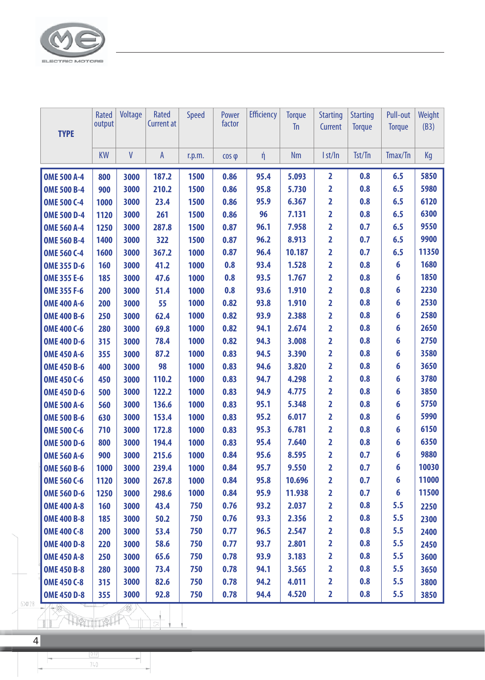

| <b>TYPE</b>        | Rated<br>output | Voltage | Rated<br><b>Current at</b> | <b>Speed</b> | Power<br>factor | <b>Efficiency</b> | <b>Torque</b><br><b>Tn</b> | <b>Starting</b><br>Current | <b>Starting</b><br><b>Torque</b> | <b>Pull-out</b><br><b>Torque</b> | <b>Weight</b><br>(B3) |
|--------------------|-----------------|---------|----------------------------|--------------|-----------------|-------------------|----------------------------|----------------------------|----------------------------------|----------------------------------|-----------------------|
|                    | <b>KW</b>       | V       | $\overline{A}$             | r.p.m.       | $\cos \varphi$  | $\not\eta$        | <b>Nm</b>                  | I st/In                    | Tst/Tn                           | Tmax/Tn                          | Kg                    |
| <b>OME 500 A-4</b> | 800             | 3000    | 187.2                      | 1500         | 0.86            | 95.4              | 5.093                      | $\overline{2}$             | 0.8                              | 6.5                              | 5850                  |
| <b>OME 500 B-4</b> | 900             | 3000    | 210.2                      | 1500         | 0.86            | 95.8              | 5.730                      | $\overline{2}$             | 0.8                              | 6.5                              | 5980                  |
| <b>OME 500 C-4</b> | 1000            | 3000    | 23.4                       | 1500         | 0.86            | 95.9              | 6.367                      | 2                          | 0.8                              | 6.5                              | 6120                  |
| <b>OME 500 D-4</b> | 1120            | 3000    | 261                        | 1500         | 0.86            | 96                | 7.131                      | $\overline{2}$             | 0.8                              | 6.5                              | 6300                  |
| <b>OME 560 A-4</b> | 1250            | 3000    | 287.8                      | 1500         | 0.87            | 96.1              | 7.958                      | $\overline{2}$             | 0.7                              | 6.5                              | 9550                  |
| <b>OME 560 B-4</b> | 1400            | 3000    | 322                        | 1500         | 0.87            | 96.2              | 8.913                      | 2                          | 0.7                              | 6.5                              | 9900                  |
| <b>OME 560 C-4</b> | 1600            | 3000    | 367.2                      | 1000         | 0.87            | 96.4              | 10.187                     | $\overline{2}$             | 0.7                              | 6.5                              | 11350                 |
| <b>OME 355 D-6</b> | 160             | 3000    | 41.2                       | 1000         | 0.8             | 93.4              | 1.528                      | $\overline{2}$             | 0.8                              | 6                                | 1680                  |
| <b>OME 355 E-6</b> | 185             | 3000    | 47.6                       | 1000         | 0.8             | 93.5              | 1.767                      | 2                          | 0.8                              | 6                                | 1850                  |
| <b>OME 355 F-6</b> | 200             | 3000    | 51.4                       | 1000         | 0.8             | 93.6              | 1.910                      | $\overline{2}$             | 0.8                              | 6                                | 2230                  |
| <b>OME 400 A-6</b> | 200             | 3000    | 55                         | 1000         | 0.82            | 93.8              | 1.910                      | $\overline{2}$             | 0.8                              | 6                                | 2530                  |
| <b>OME 400 B-6</b> | 250             | 3000    | 62.4                       | 1000         | 0.82            | 93.9              | 2.388                      | 2                          | 0.8                              | 6                                | 2580                  |
| <b>OME 400 C-6</b> | 280             | 3000    | 69.8                       | 1000         | 0.82            | 94.1              | 2.674                      | $\overline{2}$             | 0.8                              | 6                                | 2650                  |
| <b>OME 400 D-6</b> | 315             | 3000    | 78.4                       | 1000         | 0.82            | 94.3              | 3.008                      | $\overline{2}$             | 0.8                              | 6                                | 2750                  |
| <b>OME 450 A-6</b> | 355             | 3000    | 87.2                       | 1000         | 0.83            | 94.5              | 3.390                      | 2                          | 0.8                              | 6                                | 3580                  |
| <b>OME 450 B-6</b> | 400             | 3000    | 98                         | 1000         | 0.83            | 94.6              | 3.820                      | $\overline{2}$             | 0.8                              | 6                                | 3650                  |
| <b>OME 450 C-6</b> | 450             | 3000    | 110.2                      | 1000         | 0.83            | 94.7              | 4.298                      | $\overline{2}$             | 0.8                              | 6                                | 3780                  |
| <b>OME 450 D-6</b> | 500             | 3000    | 122.2                      | 1000         | 0.83            | 94.9              | 4.775                      | 2                          | 0.8                              | 6                                | 3850                  |
| <b>OME 500 A-6</b> | 560             | 3000    | 136.6                      | 1000         | 0.83            | 95.1              | 5.348                      | $\overline{2}$             | 0.8                              | 6                                | 5750                  |
| <b>OME 500 B-6</b> | 630             | 3000    | 153.4                      | 1000         | 0.83            | 95.2              | 6.017                      | $\overline{2}$             | 0.8                              | 6                                | 5990                  |
| <b>OME 500 C-6</b> | 710             | 3000    | 172.8                      | 1000         | 0.83            | 95.3              | 6.781                      | 2                          | 0.8                              | 6                                | 6150                  |
| <b>OME 500 D-6</b> | 800             | 3000    | 194.4                      | 1000         | 0.83            | 95.4              | 7.640                      | $\overline{2}$             | 0.8                              | 6                                | 6350                  |
| <b>OME 560 A-6</b> | 900             | 3000    | 215.6                      | 1000         | 0.84            | 95.6              | 8.595                      | $\overline{2}$             | 0.7                              | 6                                | 9880                  |
| <b>OME 560 B-6</b> | 1000            | 3000    | 239.4                      | 1000         | 0.84            | 95.7              | 9.550                      | $\overline{\mathbf{2}}$    | 0.7                              | 6                                | 10030                 |
| <b>OME 560 C-6</b> | 1120            | 3000    | 267.8                      | 1000         | 0.84            | 95.8              | 10.696                     | $\overline{\mathbf{2}}$    | 0.7                              | 6                                | 11000                 |
| <b>OME 560 D-6</b> | 1250            | 3000    | 298.6                      | 1000         | 0.84            | 95.9              | 11.938                     | 2                          | 0.7                              | 6                                | 11500                 |
| <b>OME 400 A-8</b> | 160             | 3000    | 43.4                       | 750          | 0.76            | 93.2              | 2.037                      | 2                          | 0.8                              | 5.5                              | 2250                  |
| <b>OME 400 B-8</b> | 185             | 3000    | 50.2                       | 750          | 0.76            | 93.3              | 2.356                      | $\overline{\mathbf{2}}$    | 0.8                              | 5.5                              | 2300                  |
| <b>OME 400 C-8</b> | 200             | 3000    | 53.4                       | 750          | 0.77            | 96.5              | 2.547                      | 2                          | 0.8                              | 5.5                              | 2400                  |
| <b>OME 400 D-8</b> | 220             | 3000    | 58.6                       | 750          | 0.77            | 93.7              | 2.801                      | 2                          | 0.8                              | 5.5                              | 2450                  |
| <b>OME 450 A-8</b> | 250             | 3000    | 65.6                       | 750          | 0.78            | 93.9              | 3.183                      | $\overline{\mathbf{2}}$    | 0.8                              | 5.5                              | 3600                  |
| <b>OME 450 B-8</b> | 280             | 3000    | 73.4                       | 750          | 0.78            | 94.1              | 3.565                      | 2                          | 0.8                              | 5.5                              | 3650                  |
| <b>OME 450 C-8</b> | 315             | 3000    | 82.6                       | 750          | 0.78            | 94.2              | 4.011                      | 2                          | 0.8                              | 5.5                              | 3800                  |
| <b>OME 450 D-8</b> | 355             | 3000    | 92.8                       | 750          | 0.78            | 94.4              | 4.520                      | $\overline{2}$             | 0.8                              | 5.5                              | 3850                  |

 $rac{1010}{740}$ 

7

F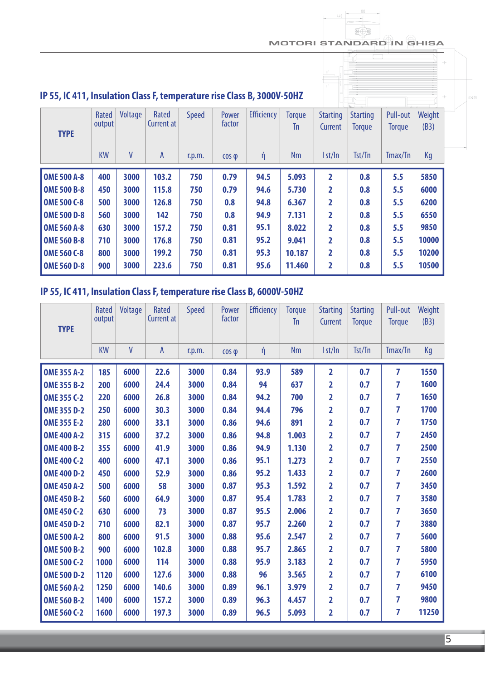#### MOTORI STANDARD IN GHISA

 $\circledcirc$ 

| IP 55, IC 411, Insulation Class F, temperature rise Class B, 3000V-50HZ |                 |         |                            |              |                 |                   |                     |                            |                                  |                           |                |
|-------------------------------------------------------------------------|-----------------|---------|----------------------------|--------------|-----------------|-------------------|---------------------|----------------------------|----------------------------------|---------------------------|----------------|
| <b>TYPE</b>                                                             | Rated<br>output | Voltage | Rated<br><b>Current at</b> | <b>Speed</b> | Power<br>factor | <b>Efficiency</b> | <b>Torque</b><br>Tn | <b>Starting</b><br>Current | <b>Starting</b><br><b>Torque</b> | Pull-out<br><b>Torque</b> | Weight<br>(B3) |
|                                                                         | <b>KW</b>       | V       | $\mathsf{A}$               | r.p.m.       | $\cos \varphi$  | ή                 | <b>Nm</b>           | I st/In                    | Tst/Tn                           | Tmax/Tn                   | Kg             |
| <b>OME 500 A-8</b>                                                      | 400             | 3000    | 103.2                      | 750          | 0.79            | 94.5              | 5.093               | $\overline{2}$             | 0.8                              | 5.5                       | 5850           |
| <b>OME 500 B-8</b>                                                      |                 |         |                            |              |                 |                   |                     |                            |                                  |                           | 6000           |
|                                                                         | 450             | 3000    | 115.8                      | 750          | 0.79            | 94.6              | 5.730               | $\overline{\mathbf{z}}$    | 0.8                              | 5.5                       |                |
| <b>OME 500 C-8</b>                                                      | 500             | 3000    | 126.8                      | 750          | 0.8             | 94.8              | 6.367               | $\overline{\mathbf{z}}$    | 0.8                              | 5.5                       | 6200           |
| <b>OME 500 D-8</b>                                                      | 560             | 3000    | 142                        | 750          | 0.8             | 94.9              | 7.131               | $\overline{2}$             | 0.8                              | 5.5                       | 6550           |
| <b>OME 560 A-8</b>                                                      | 630             | 3000    | 157.2                      | 750          | 0.81            | 95.1              | 8.022               | $\mathbf{2}$               | 0.8                              | 5.5                       | 9850           |
| <b>OME 560 B-8</b>                                                      | 710             | 3000    | 176.8                      | 750          | 0.81            | 95.2              | 9.041               | 2                          | 0.8                              | 5.5                       | 10000          |
| <b>OME 560 C-8</b>                                                      | 800             | 3000    | 199.2                      | 750          | 0.81            | 95.3              | 10.187              | $\overline{2}$             | 0.8                              | 5.5                       | 10200          |

### **IP 55, IC 411, Insulation Class F, temperature rise Class B, 6000V-50HZ**

| <b>TYPE</b>        | Rated<br>output | Voltage      | Rated<br><b>Current at</b> | <b>Speed</b> | Power<br>factor | <b>Efficiency</b> | <b>Torque</b><br><b>Tn</b> | <b>Starting</b><br>Current | <b>Starting</b><br><b>Torque</b> | Pull-out<br><b>Torque</b> | Weight<br>(B3) |
|--------------------|-----------------|--------------|----------------------------|--------------|-----------------|-------------------|----------------------------|----------------------------|----------------------------------|---------------------------|----------------|
|                    | <b>KW</b>       | $\mathsf{V}$ | $\overline{A}$             | r.p.m.       | $\cos \varphi$  | $\eta$            | <b>Nm</b>                  | I st/In                    | Tst/Tn                           | Tmax/Tn                   | Kg             |
| <b>OME 355 A-2</b> | 185             | 6000         | 22.6                       | 3000         | 0.84            | 93.9              | 589                        | $\overline{2}$             | 0.7                              | $\overline{7}$            | 1550           |
| <b>OME 355 B-2</b> | 200             | 6000         | 24.4                       | 3000         | 0.84            | 94                | 637                        | 2                          | 0.7                              | 7                         | 1600           |
| <b>OME 355 C-2</b> | 220             | 6000         | 26.8                       | 3000         | 0.84            | 94.2              | 700                        | $\overline{2}$             | 0.7                              | 7                         | 1650           |
| <b>OME 355 D-2</b> | 250             | 6000         | 30.3                       | 3000         | 0.84            | 94.4              | 796                        | $\overline{2}$             | 0.7                              | $\overline{7}$            | 1700           |
| <b>OME 355 E-2</b> | 280             | 6000         | 33.1                       | 3000         | 0.86            | 94.6              | 891                        | $\overline{\mathbf{2}}$    | 0.7                              | 7                         | 1750           |
| <b>OME 400 A-2</b> | 315             | 6000         | 37.2                       | 3000         | 0.86            | 94.8              | 1.003                      | $\overline{2}$             | 0.7                              | $\overline{7}$            | 2450           |
| <b>OME 400 B-2</b> | 355             | 6000         | 41.9                       | 3000         | 0.86            | 94.9              | 1.130                      | $\overline{\mathbf{2}}$    | 0.7                              | 7                         | 2500           |
| <b>OME 400 C-2</b> | 400             | 6000         | 47.1                       | 3000         | 0.86            | 95.1              | 1.273                      | $\overline{\mathbf{2}}$    | 0.7                              | $\overline{7}$            | 2550           |
| <b>OME 400 D-2</b> | 450             | 6000         | 52.9                       | 3000         | 0.86            | 95.2              | 1.433                      | $\overline{\mathbf{2}}$    | 0.7                              | 7                         | 2600           |
| <b>OME 450 A-2</b> | 500             | 6000         | 58                         | 3000         | 0.87            | 95.3              | 1.592                      | $\overline{\mathbf{2}}$    | 0.7                              | 7                         | 3450           |
| <b>OME 450 B-2</b> | 560             | 6000         | 64.9                       | 3000         | 0.87            | 95.4              | 1.783                      | $\overline{\mathbf{2}}$    | 0.7                              | 7                         | 3580           |
| <b>OME 450 C-2</b> | 630             | 6000         | 73                         | 3000         | 0.87            | 95.5              | 2.006                      | $\overline{\mathbf{2}}$    | 0.7                              | 7                         | 3650           |
| <b>OME 450 D-2</b> | 710             | 6000         | 82.1                       | 3000         | 0.87            | 95.7              | 2.260                      | $\overline{\mathbf{2}}$    | 0.7                              | 7                         | 3880           |
| <b>OME 500 A-2</b> | 800             | 6000         | 91.5                       | 3000         | 0.88            | 95.6              | 2.547                      | $\overline{2}$             | 0.7                              | 7                         | 5600           |
| <b>OME 500 B-2</b> | 900             | 6000         | 102.8                      | 3000         | 0.88            | 95.7              | 2.865                      | $\overline{\mathbf{2}}$    | 0.7                              | $\overline{7}$            | 5800           |
| <b>OME 500 C-2</b> | 1000            | 6000         | 114                        | 3000         | 0.88            | 95.9              | 3.183                      | $\overline{2}$             | 0.7                              | $\overline{7}$            | 5950           |
| <b>OME 500 D-2</b> | 1120            | 6000         | 127.6                      | 3000         | 0.88            | 96                | 3.565                      | $\overline{\mathbf{2}}$    | 0.7                              | 7                         | 6100           |
| <b>OME 560 A-2</b> | 1250            | 6000         | 140.6                      | 3000         | 0.89            | 96.1              | 3.979                      | $\overline{2}$             | 0.7                              | $\overline{7}$            | 9450           |
| <b>OME 560 B-2</b> | 1400            | 6000         | 157.2                      | 3000         | 0.89            | 96.3              | 4.457                      | $\overline{2}$             | 0.7                              | 7                         | 9800           |
| <b>OME 560 C-2</b> | 1600            | 6000         | 197.3                      | 3000         | 0.89            | 96.5              | 5.093                      | $\overline{2}$             | 0.7                              | 7                         | 11250          |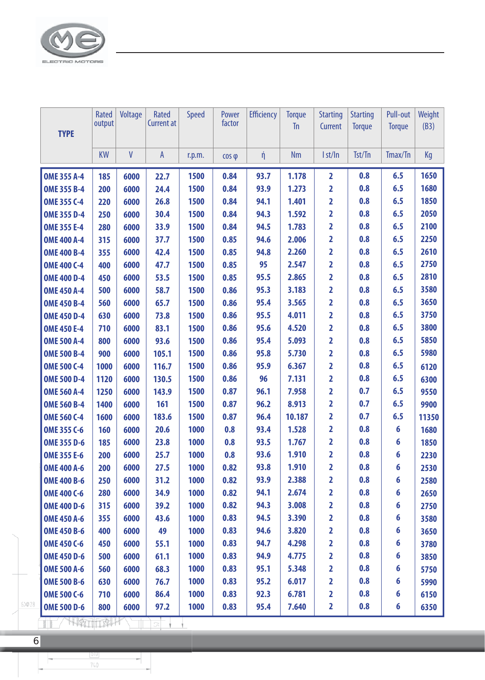

| <b>TYPE</b>                         | Rated<br>output | Voltage      | Rated<br><b>Current at</b> | Speed  | Power<br>factor | <b>Efficiency</b> | <b>Torque</b><br><b>Tn</b> | <b>Starting</b><br>Current | <b>Starting</b><br><b>Torque</b> | Pull-out<br><b>Torque</b> | Weight<br>(B3) |
|-------------------------------------|-----------------|--------------|----------------------------|--------|-----------------|-------------------|----------------------------|----------------------------|----------------------------------|---------------------------|----------------|
|                                     | <b>KW</b>       | $\mathsf{V}$ | $\mathsf{A}$               | r.p.m. | $\cos \phi$     | ή                 | <b>Nm</b>                  | I st/In                    | Tst/Tn                           | Tmax/Tn                   | Kg             |
| <b>OME 355 A-4</b>                  | 185             | 6000         | 22.7                       | 1500   | 0.84            | 93.7              | 1.178                      | $\overline{2}$             | 0.8                              | 6.5                       | 1650           |
| <b>OME 355 B-4</b>                  | 200             | 6000         | 24.4                       | 1500   | 0.84            | 93.9              | 1.273                      | 2                          | 0.8                              | 6.5                       | 1680           |
| <b>OME 355 C-4</b>                  | 220             | 6000         | 26.8                       | 1500   | 0.84            | 94.1              | 1.401                      | 2                          | 0.8                              | 6.5                       | 1850           |
| <b>OME 355 D-4</b>                  | 250             | 6000         | 30.4                       | 1500   | 0.84            | 94.3              | 1.592                      | $\overline{\mathbf{2}}$    | 0.8                              | 6.5                       | 2050           |
| <b>OME 355 E-4</b>                  | 280             | 6000         | 33.9                       | 1500   | 0.84            | 94.5              | 1.783                      | 2                          | 0.8                              | 6.5                       | 2100           |
| <b>OME 400 A-4</b>                  | 315             | 6000         | 37.7                       | 1500   | 0.85            | 94.6              | 2.006                      | 2                          | 0.8                              | 6.5                       | 2250           |
| <b>OME 400 B-4</b>                  | 355             | 6000         | 42.4                       | 1500   | 0.85            | 94.8              | 2.260                      | $\overline{\mathbf{2}}$    | 0.8                              | 6.5                       | 2610           |
| <b>OME 400 C-4</b>                  | 400             | 6000         | 47.7                       | 1500   | 0.85            | 95                | 2.547                      | 2                          | 0.8                              | 6.5                       | 2750           |
| <b>OME 400 D-4</b>                  | 450             | 6000         | 53.5                       | 1500   | 0.85            | 95.5              | 2.865                      | 2                          | 0.8                              | 6.5                       | 2810           |
| <b>OME 450 A-4</b>                  | 500             | 6000         | 58.7                       | 1500   | 0.86            | 95.3              | 3.183                      | $\overline{\mathbf{2}}$    | 0.8                              | 6.5                       | 3580           |
| <b>OME 450 B-4</b>                  | 560             | 6000         | 65.7                       | 1500   | 0.86            | 95.4              | 3.565                      | 2                          | 0.8                              | 6.5                       | 3650           |
| <b>OME 450 D-4</b>                  | 630             | 6000         | 73.8                       | 1500   | 0.86            | 95.5              | 4.011                      | 2                          | 0.8                              | 6.5                       | 3750           |
| <b>OME 450 E-4</b>                  | 710             | 6000         | 83.1                       | 1500   | 0.86            | 95.6              | 4.520                      | 2                          | 0.8                              | 6.5                       | 3800           |
| <b>OME 500 A-4</b>                  | 800             | 6000         | 93.6                       | 1500   | 0.86            | 95.4              | 5.093                      | 2                          | 0.8                              | 6.5                       | 5850           |
| <b>OME 500 B-4</b>                  | 900             | 6000         | 105.1                      | 1500   | 0.86            | 95.8              | 5.730                      | 2                          | 0.8                              | 6.5                       | 5980           |
| <b>OME 500 C-4</b>                  | 1000            | 6000         | 116.7                      | 1500   | 0.86            | 95.9              | 6.367                      | 2                          | 0.8                              | 6.5                       | 6120           |
| <b>OME 500 D-4</b>                  | 1120            | 6000         | 130.5                      | 1500   | 0.86            | 96                | 7.131                      | 2                          | 0.8                              | 6.5                       | 6300           |
| <b>OME 560 A-4</b>                  | 1250            | 6000         | 143.9                      | 1500   | 0.87            | 96.1              | 7.958                      | 2                          | 0.7                              | 6.5                       | 9550           |
| <b>OME 560 B-4</b>                  | 1400            | 6000         | 161                        | 1500   | 0.87            | 96.2              | 8.913                      | 2                          | 0.7                              | 6.5                       | 9900           |
| <b>OME 560 C-4</b>                  | 1600            | 6000         | 183.6                      | 1500   | 0.87            | 96.4              | 10.187                     | 2                          | 0.7                              | 6.5                       | 11350          |
| <b>OME 355 C-6</b>                  | 160             | 6000         | 20.6                       | 1000   | 0.8             | 93.4              | 1.528                      | 2                          | 0.8                              | 6                         | 1680           |
| <b>OME 355 D-6</b>                  | 185             | 6000         | 23.8                       | 1000   | 0.8             | 93.5              | 1.767                      | 2                          | 0.8                              | 6                         | 1850           |
| <b>OME 355 E-6</b>                  | 200             | 6000         | 25.7                       | 1000   | 0.8             | 93.6              | 1.910                      | $\overline{2}$             | 0.8                              | 6                         | 2230           |
| <b>OME 400 A-6</b>                  | 200             | 6000         | 27.5                       | 1000   | 0.82            | 93.8              | 1.910                      | $\overline{\mathbf{2}}$    | 0.8                              | 6                         | 2530           |
| <b>OME 400 B-6</b>                  | 250             | 6000         | 31.2                       | 1000   | 0.82            | 93.9              | 2.388                      | $\overline{2}$             | 0.8                              | 6                         | 2580           |
| <b>OME 400 C-6</b>                  | 280             | 6000         | 34.9                       | 1000   | 0.82            | 94.1              | 2.674                      | $\overline{2}$             | 0.8                              | 6                         | 2650           |
| <b>OME 400 D-6</b>                  | 315             | 6000         | 39.2                       | 1000   | 0.82            | 94.3              | 3.008                      | 2                          | 0.8                              | 6                         | 2750           |
| <b>OME 450 A-6</b>                  | 355             | 6000         | 43.6                       | 1000   | 0.83            | 94.5              | 3.390                      | $\overline{\mathbf{2}}$    | 0.8                              | 6                         | 3580           |
| <b>OME 450 B-6</b>                  | 400             | 6000         | 49                         | 1000   | 0.83            | 94.6              | 3.820                      | $\overline{2}$             | 0.8                              | 6                         | 3650           |
| <b>OME 450 C-6</b>                  | 450             | 6000         | 55.1                       | 1000   | 0.83            | 94.7              | 4.298                      | 2                          | 0.8                              | 6                         | 3780           |
| <b>OME 450 D-6</b>                  | 500             | 6000         | 61.1                       | 1000   | 0.83            | 94.9              | 4.775                      | $\overline{\mathbf{2}}$    | 0.8                              | 6                         | 3850           |
| <b>OME 500 A-6</b>                  | 560             | 6000         | 68.3                       | 1000   | 0.83            | 95.1              | 5.348                      | 2                          | 0.8                              | 6                         | 5750           |
| <b>OME 500 B-6</b>                  | 630             | 6000         | 76.7                       | 1000   | 0.83            | 95.2              | 6.017                      | 2                          | 0.8                              | 6                         | 5990           |
| <b>OME 500 C-6</b>                  | 710             | 6000         | 86.4                       | 1000   | 0.83            | 92.3              | 6.781                      | $\overline{2}$             | 0.8                              | 6                         | 6150           |
| $6 \times 28$<br><b>OME 500 D-6</b> | 800             | 6000         | 97.2                       | 1000   | 0.83            | 95.4              | 7.640                      | $\overline{\mathbf{2}}$    | 0.8                              | 6                         | 6350           |

TT NATION TO  $\mathbf{v}$ 

 $740\,$ 

Ч

F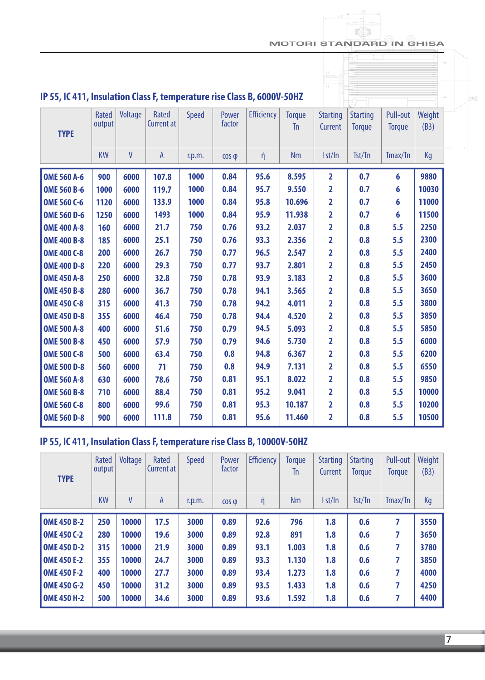#### MOTORI STANDARD IN GHISA

 $\sqrt{2}$ 

| IP 55, IC 411, Insulation Class F, temperature rise Class B, 6000V-50HZ<br><b>TYPE</b> | <b>Rated</b><br>output | Voltage | Rated<br><b>Current at</b> | <b>Speed</b> | Power<br>factor | <b>Efficiency</b> | <b>Torque</b><br><b>Tn</b> | <b>Starting</b><br>Current | <b>Starting</b><br><b>Torque</b> | Pull-out<br><b>Torque</b> | Weight<br>(B3) |
|----------------------------------------------------------------------------------------|------------------------|---------|----------------------------|--------------|-----------------|-------------------|----------------------------|----------------------------|----------------------------------|---------------------------|----------------|
|                                                                                        | <b>KW</b>              | V       | A                          | r.p.m.       | $\cos \varphi$  | ή                 | <b>Nm</b>                  | I st/In                    | Tst/Tn                           | Tmax/Tn                   | Kg             |
| <b>OME 560 A-6</b>                                                                     | 900                    | 6000    | 107.8                      | 1000         | 0.84            | 95.6              | 8.595                      | 2                          | 0.7                              | 6                         | 9880           |
| <b>OME 560 B-6</b>                                                                     | 1000                   | 6000    | 119.7                      | 1000         | 0.84            | 95.7              | 9.550                      | 2                          | 0.7                              | 6                         | 10030          |
| <b>OME 560 C-6</b>                                                                     | 1120                   | 6000    | 133.9                      | 1000         | 0.84            | 95.8              | 10.696                     | 2                          | 0.7                              | 6                         | 11000          |
| <b>OME 560 D-6</b>                                                                     | 1250                   | 6000    | 1493                       | 1000         | 0.84            | 95.9              | 11.938                     | $\overline{\mathbf{2}}$    | 0.7                              | 6                         | 11500          |
| <b>OME 400 A-8</b>                                                                     | 160                    | 6000    | 21.7                       | 750          | 0.76            | 93.2              | 2.037                      | $\overline{2}$             | 0.8                              | 5.5                       | 2250           |
| <b>OME 400 B-8</b>                                                                     | 185                    | 6000    | 25.1                       | 750          | 0.76            | 93.3              | 2.356                      | 2                          | 0.8                              | 5.5                       | 2300           |
| <b>OME 400 C-8</b>                                                                     | 200                    | 6000    | 26.7                       | 750          | 0.77            | 96.5              | 2.547                      | 2                          | 0.8                              | 5.5                       | 2400           |
| <b>OME 400 D-8</b>                                                                     | 220                    | 6000    | 29.3                       | 750          | 0.77            | 93.7              | 2.801                      | 2                          | 0.8                              | 5.5                       | 2450           |
| <b>OME 450 A-8</b>                                                                     | 250                    | 6000    | 32.8                       | 750          | 0.78            | 93.9              | 3.183                      | $\overline{\mathbf{2}}$    | 0.8                              | 5.5                       | 3600           |
| <b>OME 450 B-8</b>                                                                     | 280                    | 6000    | 36.7                       | 750          | 0.78            | 94.1              | 3.565                      | 2                          | 0.8                              | 5.5                       | 3650           |
| <b>OME 450 C-8</b>                                                                     | 315                    | 6000    | 41.3                       | 750          | 0.78            | 94.2              | 4.011                      | 2                          | 0.8                              | 5.5                       | 3800           |
| <b>OME 450 D-8</b>                                                                     | 355                    | 6000    | 46.4                       | 750          | 0.78            | 94.4              | 4.520                      | $\overline{\mathbf{2}}$    | 0.8                              | 5.5                       | 3850           |
| <b>OME 500 A-8</b>                                                                     | 400                    | 6000    | 51.6                       | 750          | 0.79            | 94.5              | 5.093                      | 2                          | 0.8                              | 5.5                       | 5850           |
| <b>OME 500 B-8</b>                                                                     | 450                    | 6000    | 57.9                       | 750          | 0.79            | 94.6              | 5.730                      | 2                          | 0.8                              | 5.5                       | 6000           |
| <b>OME 500 C-8</b>                                                                     | 500                    | 6000    | 63.4                       | 750          | 0.8             | 94.8              | 6.367                      | 2                          | 0.8                              | 5.5                       | 6200           |
| <b>OME 500 D-8</b>                                                                     | 560                    | 6000    | 71                         | 750          | 0.8             | 94.9              | 7.131                      | 2                          | 0.8                              | 5.5                       | 6550           |
| <b>OME 560 A-8</b>                                                                     | 630                    | 6000    | 78.6                       | 750          | 0.81            | 95.1              | 8.022                      | 2                          | 0.8                              | 5.5                       | 9850           |
| <b>OME 560 B-8</b>                                                                     | 710                    | 6000    | 88.4                       | 750          | 0.81            | 95.2              | 9.041                      | 2                          | 0.8                              | 5.5                       | 10000          |
| <b>OME 560 C-8</b>                                                                     | 800                    | 6000    | 99.6                       | 750          | 0.81            | 95.3              | 10.187                     | $\overline{\mathbf{2}}$    | 0.8                              | 5.5                       | 10200          |
| <b>OME 560 D-8</b>                                                                     | 900                    | 6000    | 111.8                      | 750          | 0.81            | 95.6              | 11.460                     | $\overline{2}$             | 0.8                              | 5.5                       | 10500          |
|                                                                                        |                        |         |                            |              |                 |                   |                            |                            |                                  |                           |                |

# **IP 55, IC 411, Insulation Class F, temperature rise Class B, 10000V-50HZ**

| <b>TYPE</b>        | Rated<br>output | Voltage | Rated<br><b>Current at</b> | <b>Speed</b> | Power<br>factor | <b>Efficiency</b> | <b>Torque</b><br>Tn | <b>Starting</b><br>Current | <b>Starting</b><br><b>Torque</b> | Pull-out<br><b>Torque</b> | Weight<br>(B3) |
|--------------------|-----------------|---------|----------------------------|--------------|-----------------|-------------------|---------------------|----------------------------|----------------------------------|---------------------------|----------------|
|                    | <b>KW</b>       | V       | A                          | r.p.m.       | $\cos \phi$     | ή                 | <b>Nm</b>           | I st/In                    | Tst/Tn                           | Tmax/Tn                   | Kg             |
| <b>OME 450 B-2</b> | 250             | 10000   | 17.5                       | 3000         | 0.89            | 92.6              | 796                 | 1.8                        | 0.6                              |                           | 3550           |
| <b>OME 450 C-2</b> | 280             | 10000   | 19.6                       | 3000         | 0.89            | 92.8              | 891                 | 1.8                        | 0.6                              | 7                         | 3650           |
| <b>OME 450 D-2</b> | 315             | 10000   | 21.9                       | 3000         | 0.89            | 93.1              | 1.003               | 1.8                        | 0.6                              | 7                         | 3780           |
| <b>OME 450 E-2</b> | 355             | 10000   | 24.7                       | 3000         | 0.89            | 93.3              | 1.130               | 1.8                        | 0.6                              | 7                         | 3850           |
| <b>OME 450 F-2</b> | 400             | 10000   | 27.7                       | 3000         | 0.89            | 93.4              | 1.273               | 1.8                        | 0.6                              | 7                         | 4000           |
| <b>OME 450 G-2</b> | 450             | 10000   | 31.2                       | 3000         | 0.89            | 93.5              | 1.433               | 1.8                        | 0.6                              | 7                         | 4250           |
| <b>OME 450 H-2</b> | 500             | 10000   | 34.6                       | 3000         | 0.89            | 93.6              | 1.592               | 1.8                        | 0.6                              | 7                         | 4400           |

7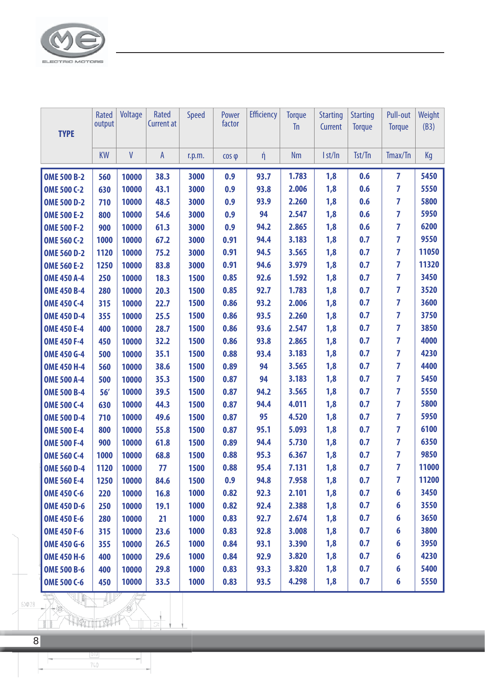

| <b>TYPE</b>        | <b>Rated</b><br>output | Voltage | Rated<br><b>Current at</b> | <b>Speed</b> | Power<br>factor | <b>Efficiency</b> | <b>Torque</b><br><b>Tn</b> | <b>Starting</b><br>Current | <b>Starting</b><br><b>Torque</b> | Pull-out<br><b>Torque</b> | Weight<br>(B3) |
|--------------------|------------------------|---------|----------------------------|--------------|-----------------|-------------------|----------------------------|----------------------------|----------------------------------|---------------------------|----------------|
|                    | <b>KW</b>              | V       | A                          | r.p.m.       | $\cos \varphi$  | ή                 | <b>Nm</b>                  | I st/In                    | Tst/Tn                           | Tmax/Tn                   | Kg             |
| <b>OME 500 B-2</b> | 560                    | 10000   | 38.3                       | 3000         | 0.9             | 93.7              | 1.783                      | 1,8                        | 0.6                              | $\overline{7}$            | 5450           |
| <b>OME 500 C-2</b> | 630                    | 10000   | 43.1                       | 3000         | 0.9             | 93.8              | 2.006                      | 1,8                        | 0.6                              | $\overline{7}$            | 5550           |
| <b>OME 500 D-2</b> | 710                    | 10000   | 48.5                       | 3000         | 0.9             | 93.9              | 2.260                      | 1,8                        | 0.6                              | 7                         | 5800           |
| <b>OME 500 E-2</b> | 800                    | 10000   | 54.6                       | 3000         | 0.9             | 94                | 2.547                      | 1,8                        | 0.6                              | $\overline{7}$            | 5950           |
| <b>OME 500 F-2</b> | 900                    | 10000   | 61.3                       | 3000         | 0.9             | 94.2              | 2.865                      | 1,8                        | 0.6                              | 7                         | 6200           |
| <b>OME 560 C-2</b> | 1000                   | 10000   | 67.2                       | 3000         | 0.91            | 94.4              | 3.183                      | 1,8                        | 0.7                              | 7                         | 9550           |
| <b>OME 560 D-2</b> | 1120                   | 10000   | 75.2                       | 3000         | 0.91            | 94.5              | 3.565                      | 1,8                        | 0.7                              | $\overline{7}$            | 11050          |
| <b>OME 560 E-2</b> | 1250                   | 10000   | 83.8                       | 3000         | 0.91            | 94.6              | 3.979                      | 1,8                        | 0.7                              | $\overline{7}$            | 11320          |
| <b>OME 450 A-4</b> | 250                    | 10000   | 18.3                       | 1500         | 0.85            | 92.6              | 1.592                      | 1,8                        | 0.7                              | 7                         | 3450           |
| <b>OME 450 B-4</b> | 280                    | 10000   | 20.3                       | 1500         | 0.85            | 92.7              | 1.783                      | 1,8                        | 0.7                              | $\overline{7}$            | 3520           |
| <b>OME 450 C-4</b> | 315                    | 10000   | 22.7                       | 1500         | 0.86            | 93.2              | 2.006                      | 1,8                        | 0.7                              | $\overline{7}$            | 3600           |
| <b>OME 450 D-4</b> | 355                    | 10000   | 25.5                       | 1500         | 0.86            | 93.5              | 2.260                      | 1,8                        | 0.7                              | 7                         | 3750           |
| <b>OME 450 E-4</b> | 400                    | 10000   | 28.7                       | 1500         | 0.86            | 93.6              | 2.547                      | 1,8                        | 0.7                              | $\overline{7}$            | 3850           |
| <b>OME 450 F-4</b> | 450                    | 10000   | 32.2                       | 1500         | 0.86            | 93.8              | 2.865                      | 1,8                        | 0.7                              | 7                         | 4000           |
| <b>OME 450 G-4</b> | 500                    | 10000   | 35.1                       | 1500         | 0.88            | 93.4              | 3.183                      | 1,8                        | 0.7                              | 7                         | 4230           |
| <b>OME 450 H-4</b> | 560                    | 10000   | 38.6                       | 1500         | 0.89            | 94                | 3.565                      | 1,8                        | 0.7                              | $\overline{7}$            | 4400           |
| <b>OME 500 A-4</b> | 500                    | 10000   | 35.3                       | 1500         | 0.87            | 94                | 3.183                      | 1,8                        | 0.7                              | 7                         | 5450           |
| <b>OME 500 B-4</b> | 56'                    | 10000   | 39.5                       | 1500         | 0.87            | 94.2              | 3.565                      | 1,8                        | 0.7                              | 7                         | 5550           |
| <b>OME 500 C-4</b> | 630                    | 10000   | 44.3                       | 1500         | 0.87            | 94.4              | 4.011                      | 1,8                        | 0.7                              | $\overline{7}$            | 5800           |
| <b>OME 500 D-4</b> | 710                    | 10000   | 49.6                       | 1500         | 0.87            | 95                | 4.520                      | 1,8                        | 0.7                              | $\overline{7}$            | 5950           |
| <b>OME 500 E-4</b> | 800                    | 10000   | 55.8                       | 1500         | 0.87            | 95.1              | 5.093                      | 1,8                        | 0.7                              | 7                         | 6100           |
| <b>OME 500 F-4</b> | 900                    | 10000   | 61.8                       | 1500         | 0.89            | 94.4              | 5.730                      | 1,8                        | 0.7                              | $\overline{7}$            | 6350           |
| <b>OME 560 C-4</b> | 1000                   | 10000   | 68.8                       | 1500         | 0.88            | 95.3              | 6.367                      | 1,8                        | 0.7                              | 7                         | 9850           |
| <b>OME 560 D-4</b> | 1120                   | 10000   | 77                         | 1500         | 0.88            | 95.4              | 7.131                      | 1,8                        | 0.7                              | $\overline{\mathbf{z}}$   | 11000          |
| <b>OME 560 E-4</b> | 1250                   | 10000   | 84.6                       | 1500         | 0.9             | 94.8              | 7.958                      | 1,8                        | 0.7                              | 7                         | 11200          |
| <b>OME 450 C-6</b> | 220                    | 10000   | 16.8                       | 1000         | 0.82            | 92.3              | 2.101                      | 1,8                        | 0.7                              | 6                         | 3450           |
| <b>OME 450 D-6</b> | 250                    | 10000   | 19.1                       | 1000         | 0.82            | 92.4              | 2.388                      | 1,8                        | 0.7                              | 6                         | 3550           |
| <b>OME 450 E-6</b> | 280                    | 10000   | 21                         | 1000         | 0.83            | 92.7              | 2.674                      | 1,8                        | 0.7                              | 6                         | 3650           |
| <b>OME 450 F-6</b> | 315                    | 10000   | 23.6                       | 1000         | 0.83            | 92.8              | 3.008                      | 1,8                        | 0.7                              | 6                         | 3800           |
| <b>OME 450 G-6</b> | 355                    | 10000   | 26.5                       | 1000         | 0.84            | 93.1              | 3.390                      | 1,8                        | 0.7                              | 6                         | 3950           |
| <b>OME 450 H-6</b> | 400                    | 10000   | 29.6                       | 1000         | 0.84            | 92.9              | 3.820                      | 1,8                        | 0.7                              | 6                         | 4230           |
| <b>OME 500 B-6</b> | 400                    | 10000   | 29.8                       | 1000         | 0.83            | 93.3              | 3.820                      | 1,8                        | 0.7                              | 6                         | 5400           |
| <b>OME 500 C-6</b> | 450                    | 10000   | 33.5                       | 1000         | 0.83            | 93.5              | 4.298                      | 1,8                        | 0.7                              | 6                         | 5550           |

 $6 \times 28$ 

THE ST

 $\overline{\mathbb{L}}$ 

1,

HEITTELA

 $rac{1010}{740}$ 

F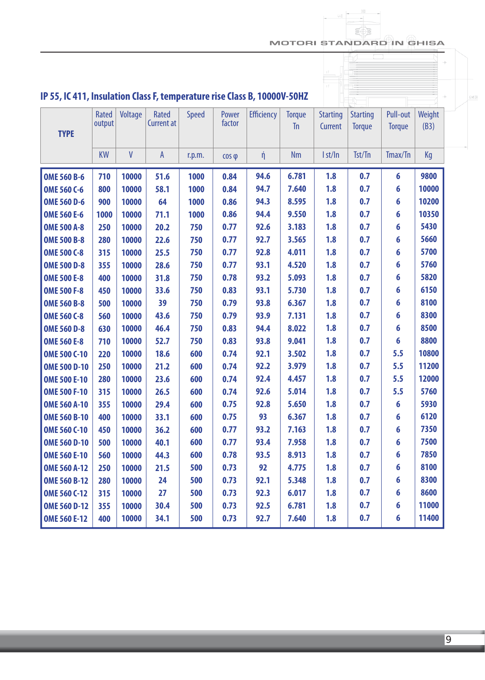MOTORI STANDARD IN GHISA fia e

 $6 \times 28$ 

 $\begin{array}{c|c|c|c|c} \hline & & & & 380 & \\ \hline & & & & & \\ \hline & & & & & \\ \hline & & & & & \\ \hline & & & & & \\ \hline & & & & & \\ \hline & & & & & \\ \hline & & & & & \\ \hline & & & & & \\ \hline & & & & & \\ \hline & & & & & & \\ \hline & & & & & & \\ \hline & & & & & & \\ \hline & & & & & & \\ \hline & & & & & & & \\ \hline & & & & & & & \\ \hline & & & & & & & \\ \hline & & & & & & & \\ \hline & & & & & & & & \\ \hline & & & & & & & & \\ \hline$ 

| IP 55, IC 411, Insulation Class F, temperature rise Class B, 10000V-50HZ |                 |         |                            |              |                 |                   |                            |                            |                                  |                           |                |
|--------------------------------------------------------------------------|-----------------|---------|----------------------------|--------------|-----------------|-------------------|----------------------------|----------------------------|----------------------------------|---------------------------|----------------|
| <b>TYPE</b>                                                              | Rated<br>output | Voltage | Rated<br><b>Current at</b> | <b>Speed</b> | Power<br>factor | <b>Efficiency</b> | <b>Torque</b><br><b>Tn</b> | <b>Starting</b><br>Current | <b>Starting</b><br><b>Torque</b> | Pull-out<br><b>Torque</b> | Weight<br>(B3) |
|                                                                          | <b>KW</b>       | V       | $\mathsf{A}$               | r.p.m.       | $\cos \varphi$  | ή                 | <b>Nm</b>                  | I st/In                    | Tst/Tn                           | Tmax/Tn                   | Kg             |
| <b>OME 560 B-6</b>                                                       | 710             | 10000   | 51.6                       | 1000         | 0.84            | 94.6              | 6.781                      | 1.8                        | 0.7                              | 6                         | 9800           |
| <b>OME 560 C-6</b>                                                       | 800             | 10000   | 58.1                       | 1000         | 0.84            | 94.7              | 7.640                      | 1.8                        | 0.7                              | 6                         | 10000          |
| <b>OME 560 D-6</b>                                                       | 900             | 10000   | 64                         | 1000         | 0.86            | 94.3              | 8.595                      | 1.8                        | 0.7                              | 6                         | 10200          |
| <b>OME 560 E-6</b>                                                       | 1000            | 10000   | 71.1                       | 1000         | 0.86            | 94.4              | 9.550                      | 1.8                        | 0.7                              | 6                         | 10350          |
| <b>OME 500 A-8</b>                                                       | 250             | 10000   | 20.2                       | 750          | 0.77            | 92.6              | 3.183                      | 1.8                        | 0.7                              | 6                         | 5430           |
| <b>OME 500 B-8</b>                                                       | 280             | 10000   | 22.6                       | 750          | 0.77            | 92.7              | 3.565                      | 1.8                        | 0.7                              | 6                         | 5660           |
| <b>OME 500 C-8</b>                                                       | 315             | 10000   | 25.5                       | 750          | 0.77            | 92.8              | 4.011                      | 1.8                        | 0.7                              | 6                         | 5700           |
| <b>OME 500 D-8</b>                                                       | 355             | 10000   | 28.6                       | 750          | 0.77            | 93.1              | 4.520                      | 1.8                        | 0.7                              | 6                         | 5760           |
| <b>OME 500 E-8</b>                                                       | 400             | 10000   | 31.8                       | 750          | 0.78            | 93.2              | 5.093                      | 1.8                        | 0.7                              | 6                         | 5820           |
| <b>OME 500 F-8</b>                                                       | 450             | 10000   | 33.6                       | 750          | 0.83            | 93.1              | 5.730                      | 1.8                        | 0.7                              | 6                         | 6150           |
| <b>OME 560 B-8</b>                                                       | 500             | 10000   | 39                         | 750          | 0.79            | 93.8              | 6.367                      | 1.8                        | 0.7                              | 6                         | 8100           |
| <b>OME 560 C-8</b>                                                       | 560             | 10000   | 43.6                       | 750          | 0.79            | 93.9              | 7.131                      | 1.8                        | 0.7                              | 6                         | 8300           |
| <b>OME 560 D-8</b>                                                       | 630             | 10000   | 46.4                       | 750          | 0.83            | 94.4              | 8.022                      | 1.8                        | 0.7                              | 6                         | 8500           |
| <b>OME 560 E-8</b>                                                       | 710             | 10000   | 52.7                       | 750          | 0.83            | 93.8              | 9.041                      | 1.8                        | 0.7                              | 6                         | 8800           |
| <b>OME 500 C-10</b>                                                      | 220             | 10000   | 18.6                       | 600          | 0.74            | 92.1              | 3.502                      | 1.8                        | 0.7                              | 5.5                       | 10800          |
| <b>OME 500 D-10</b>                                                      | 250             | 10000   | 21.2                       | 600          | 0.74            | 92.2              | 3.979                      | 1.8                        | 0.7                              | 5.5                       | 11200          |
| <b>OME 500 E-10</b>                                                      | 280             | 10000   | 23.6                       | 600          | 0.74            | 92.4              | 4.457                      | 1.8                        | 0.7                              | 5.5                       | 12000          |
| <b>OME 500 F-10</b>                                                      | 315             | 10000   | 26.5                       | 600          | 0.74            | 92.6              | 5.014                      | 1.8                        | 0.7                              | 5.5                       | 5760           |
| <b>OME 560 A-10</b>                                                      | 355             | 10000   | 29.4                       | 600          | 0.75            | 92.8              | 5.650                      | 1.8                        | 0.7                              | 6                         | 5930           |
| <b>OME 560 B-10</b>                                                      | 400             | 10000   | 33.1                       | 600          | 0.75            | 93                | 6.367                      | 1.8                        | 0.7                              | 6                         | 6120           |
| <b>OME 560 C-10</b>                                                      | 450             | 10000   | 36.2                       | 600          | 0.77            | 93.2              | 7.163                      | 1.8                        | 0.7                              | 6                         | 7350           |
| <b>OME 560 D-10</b>                                                      | 500             | 10000   | 40.1                       | 600          | 0.77            | 93.4              | 7.958                      | 1.8                        | 0.7                              | 6                         | 7500           |
| <b>OME 560 E-10</b>                                                      | 560             | 10000   | 44.3                       | 600          | 0.78            | 93.5              | 8.913                      | 1.8                        | 0.7                              | 6                         | 7850           |
| <b>OME 560 A-12</b>                                                      | 250             | 10000   | 21.5                       | 500          | 0.73            | 92                | 4.775                      | 1.8                        | 0.7                              | 6                         | 8100           |
| <b>OME 560 B-12</b>                                                      | 280             | 10000   | 24                         | 500          | 0.73            | 92.1              | 5.348                      | 1.8                        | 0.7                              | 6                         | 8300           |
| <b>OME 560 C-12</b>                                                      | 315             | 10000   | 27                         | 500          | 0.73            | 92.3              | 6.017                      | 1.8                        | 0.7                              | 6                         | 8600           |
| <b>OME 560 D-12</b>                                                      | 355             | 10000   | 30.4                       | 500          | 0.73            | 92.5              | 6.781                      | 1.8                        | 0.7                              | 6                         | 11000          |
| <b>OME 560 E-12</b>                                                      | 400             | 10000   | 34.1                       | 500          | 0.73            | 92.7              | 7.640                      | 1.8                        | 0.7                              | 6                         | 11400          |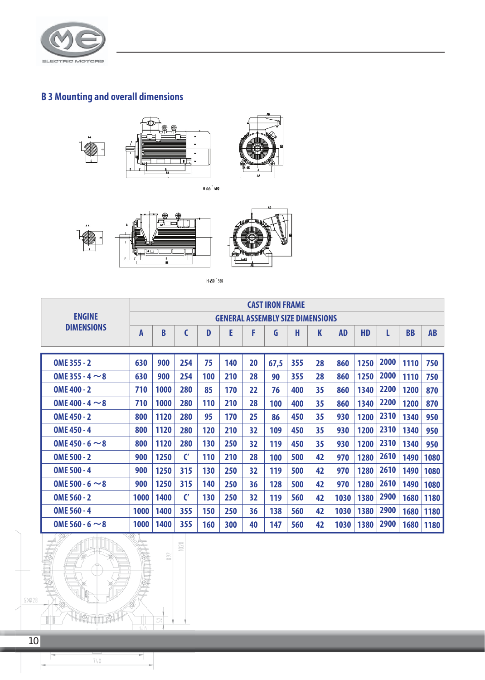

# **B 3 Mounting and overall dimensions**



H 355 - 400



H450<sup>-</sup>560

|                      | <b>CAST IRON FRAME</b> |      |               |     |     |    |      |     |                                         |           |           |      |           |             |
|----------------------|------------------------|------|---------------|-----|-----|----|------|-----|-----------------------------------------|-----------|-----------|------|-----------|-------------|
| <b>ENGINE</b>        |                        |      |               |     |     |    |      |     | <b>GENERAL ASSEMBLY SIZE DIMENSIONS</b> |           |           |      |           |             |
| <b>DIMENSIONS</b>    | A                      | B    | C             | D   | E   | F  | G    | H   | K                                       | <b>AD</b> | <b>HD</b> | L    | <b>BB</b> | <b>AB</b>   |
|                      |                        |      |               |     |     |    |      |     |                                         |           |           |      |           |             |
| OME 355 - 2          | 630                    | 900  | 254           | 75  | 140 | 20 | 67,5 | 355 | 28                                      | 860       | 1250      | 2000 | 1110      | 750         |
| OME 355 - 4 $\sim$ 8 | 630                    | 900  | 254           | 100 | 210 | 28 | 90   | 355 | 28                                      | 860       | 1250      | 2000 | 1110      | 750         |
| OME 400 - 2          | 710                    | 1000 | 280           | 85  | 170 | 22 | 76   | 400 | 35                                      | 860       | 1340      | 2200 | 1200      | 870         |
| OME 400 - 4 $\sim$ 8 | 710                    | 1000 | 280           | 110 | 210 | 28 | 100  | 400 | 35                                      | 860       | 1340      | 2200 | 1200      | 870         |
| OME 450 - 2          | 800                    | 1120 | 280           | 95  | 170 | 25 | 86   | 450 | 35                                      | 930       | 1200      | 2310 | 1340      | 950         |
| OME 450 - 4          | 800                    | 1120 | 280           | 120 | 210 | 32 | 109  | 450 | 35                                      | 930       | 1200      | 2310 | 1340      | 950         |
| OME 450 - 6 $\sim$ 8 | 800                    | 1120 | 280           | 130 | 250 | 32 | 119  | 450 | 35                                      | 930       | 1200      | 2310 | 1340      | 950         |
| <b>OME 500 - 2</b>   | 900                    | 1250 | $\mathbf{C}'$ | 110 | 210 | 28 | 100  | 500 | 42                                      | 970       | 1280      | 2610 | 1490      | 1080        |
| <b>OME 500 - 4</b>   | 900                    | 1250 | 315           | 130 | 250 | 32 | 119  | 500 | 42                                      | 970       | 1280      | 2610 | 1490      | 1080        |
| OME 500 - 6 $\sim$ 8 | 900                    | 1250 | 315           | 140 | 250 | 36 | 128  | 500 | 42                                      | 970       | 1280      | 2610 | 1490      | 1080        |
| OME 560 - 2          | 1000                   | 1400 | $\mathbf{C}'$ | 130 | 250 | 32 | 119  | 560 | 42                                      | 1030      | 1380      | 2900 | 1680      | 1180        |
| OME 560 - 4          | 1000                   | 1400 | 355           | 150 | 250 | 36 | 138  | 560 | 42                                      | 1030      | 1380      | 2900 | 1680      | 1180        |
| OME 560 - 6 $\sim$ 8 | 1000                   | 1400 | 355           | 160 | 300 | 40 | 147  | 560 | 42                                      | 1030      | 1380      | 2900 |           | 1680   1180 |



٦.

 $\overline{\phantom{a}}$